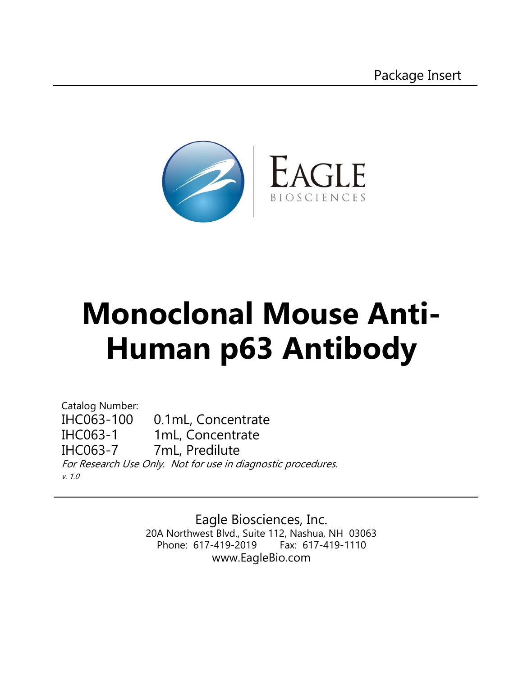

# **Monoclonal Mouse Anti-Human p63 Antibody**

Catalog Number: IHC063-100 0.1mL, Concentrate IHC063-1 1mL, Concentrate IHC063-7 7mL, Predilute For Research Use Only. Not for use in diagnostic procedures. v. 1.0

> Eagle Biosciences, Inc. 20A Northwest Blvd., Suite 112, Nashua, NH 03063 Phone: 617-419-2019 Fax: 617-419-1110 www.EagleBio.com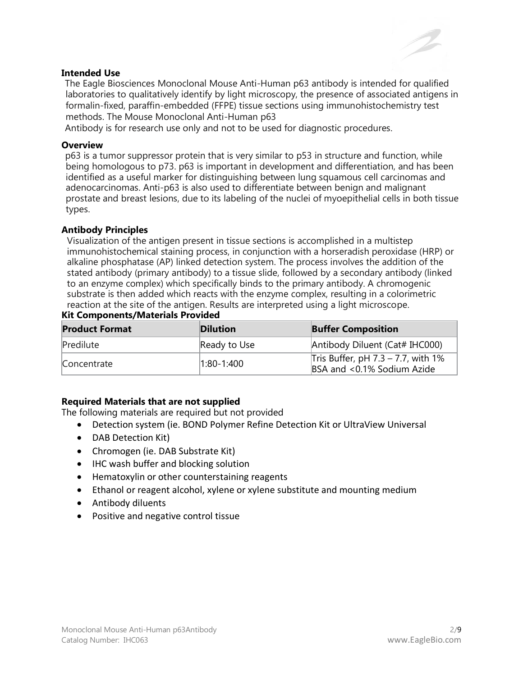

# **Intended Use**

The Eagle Biosciences Monoclonal Mouse Anti-Human p63 antibody is intended for qualified laboratories to qualitatively identify by light microscopy, the presence of associated antigens in formalin-fixed, paraffin-embedded (FFPE) tissue sections using immunohistochemistry test methods. The Mouse Monoclonal Anti-Human p63

Antibody is for research use only and not to be used for diagnostic procedures.

#### **Overview**

p63 is a tumor suppressor protein that is very similar to p53 in structure and function, while being homologous to p73. p63 is important in development and differentiation, and has been identified as a useful marker for distinguishing between lung squamous cell carcinomas and adenocarcinomas. Anti-p63 is also used to differentiate between benign and malignant prostate and breast lesions, due to its labeling of the nuclei of myoepithelial cells in both tissue types.

#### **Antibody Principles**

Visualization of the antigen present in tissue sections is accomplished in a multistep immunohistochemical staining process, in conjunction with a horseradish peroxidase (HRP) or alkaline phosphatase (AP) linked detection system. The process involves the addition of the stated antibody (primary antibody) to a tissue slide, followed by a secondary antibody (linked to an enzyme complex) which specifically binds to the primary antibody. A chromogenic substrate is then added which reacts with the enzyme complex, resulting in a colorimetric reaction at the site of the antigen. Results are interpreted using a light microscope.

| <b>Product Format</b> | <b>Dilution</b>  | <b>Buffer Composition</b>                                              |
|-----------------------|------------------|------------------------------------------------------------------------|
| Predilute             | Ready to Use     | Antibody Diluent (Cat# IHC000)                                         |
| Concentrate           | $ 1:80 - 1:400 $ | Tris Buffer, pH $7.3 - 7.7$ , with $1\%$<br>BSA and <0.1% Sodium Azide |

# **Kit Components/Materials Provided**

# **Required Materials that are not supplied**

The following materials are required but not provided

- Detection system (ie. BOND Polymer Refine Detection Kit or UltraView Universal
- DAB Detection Kit)
- Chromogen (ie. DAB Substrate Kit)
- IHC wash buffer and blocking solution
- Hematoxylin or other counterstaining reagents
- Ethanol or reagent alcohol, xylene or xylene substitute and mounting medium
- Antibody diluents
- Positive and negative control tissue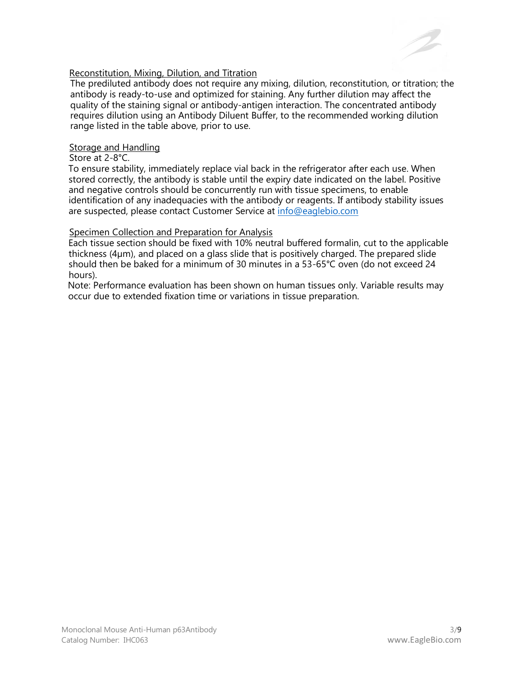

### Reconstitution, Mixing, Dilution, and Titration

The prediluted antibody does not require any mixing, dilution, reconstitution, or titration; the antibody is ready-to-use and optimized for staining. Any further dilution may affect the quality of the staining signal or antibody-antigen interaction. The concentrated antibody requires dilution using an Antibody Diluent Buffer, to the recommended working dilution range listed in the table above, prior to use.

#### Storage and Handling

#### Store at 2-8°C.

To ensure stability, immediately replace vial back in the refrigerator after each use. When stored correctly, the antibody is stable until the expiry date indicated on the label. Positive and negative controls should be concurrently run with tissue specimens, to enable identification of any inadequacies with the antibody or reagents. If antibody stability issues are suspected, please contact Customer Service at [info@eaglebio.com](mailto:info@eaglebio.com)

# Specimen Collection and Preparation for Analysis

Each tissue section should be fixed with 10% neutral buffered formalin, cut to the applicable thickness (4µm), and placed on a glass slide that is positively charged. The prepared slide should then be baked for a minimum of 30 minutes in a 53-65°C oven (do not exceed 24 hours).

Note: Performance evaluation has been shown on human tissues only. Variable results may occur due to extended fixation time or variations in tissue preparation.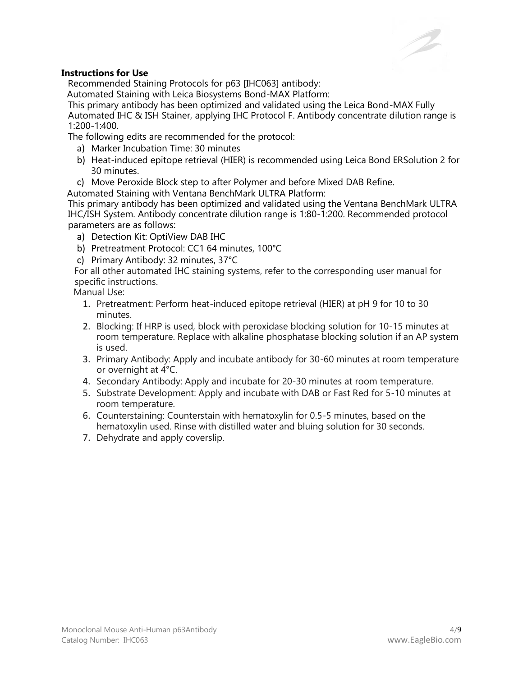# **Instructions for Use**

Recommended Staining Protocols for p63 [IHC063] antibody:

Automated Staining with Leica Biosystems Bond-MAX Platform:

This primary antibody has been optimized and validated using the Leica Bond-MAX Fully Automated IHC & ISH Stainer, applying IHC Protocol F. Antibody concentrate dilution range is 1:200-1:400.

The following edits are recommended for the protocol:

- a) Marker Incubation Time: 30 minutes
- b) Heat-induced epitope retrieval (HIER) is recommended using Leica Bond ERSolution 2 for 30 minutes.
- c) Move Peroxide Block step to after Polymer and before Mixed DAB Refine.
- Automated Staining with Ventana BenchMark ULTRA Platform:

This primary antibody has been optimized and validated using the Ventana BenchMark ULTRA IHC/ISH System. Antibody concentrate dilution range is 1:80-1:200. Recommended protocol parameters are as follows:

- a) Detection Kit: OptiView DAB IHC
- b) Pretreatment Protocol: CC1 64 minutes, 100°C
- c) Primary Antibody: 32 minutes, 37°C

For all other automated IHC staining systems, refer to the corresponding user manual for specific instructions.

Manual Use:

- 1. Pretreatment: Perform heat-induced epitope retrieval (HIER) at pH 9 for 10 to 30 minutes.
- 2. Blocking: If HRP is used, block with peroxidase blocking solution for 10-15 minutes at room temperature. Replace with alkaline phosphatase blocking solution if an AP system is used.
- 3. Primary Antibody: Apply and incubate antibody for 30-60 minutes at room temperature or overnight at 4°C.
- 4. Secondary Antibody: Apply and incubate for 20-30 minutes at room temperature.
- 5. Substrate Development: Apply and incubate with DAB or Fast Red for 5-10 minutes at room temperature.
- 6. Counterstaining: Counterstain with hematoxylin for 0.5-5 minutes, based on the hematoxylin used. Rinse with distilled water and bluing solution for 30 seconds.
- 7. Dehydrate and apply coverslip.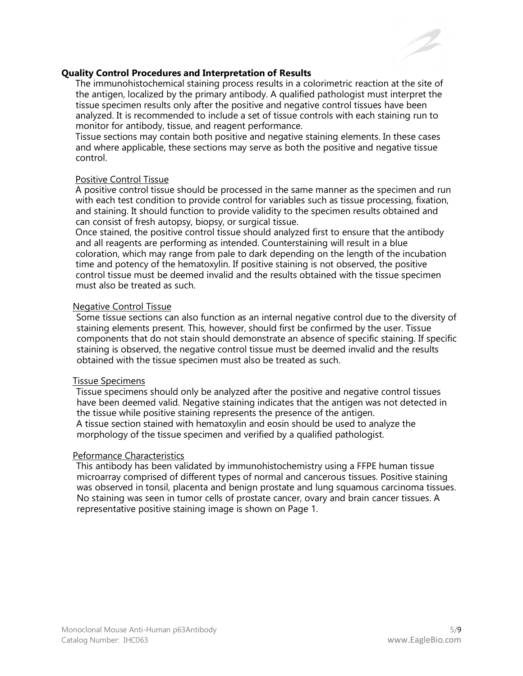

#### **Quality Control Procedures and Interpretation of Results**

The immunohistochemical staining process results in a colorimetric reaction at the site of the antigen, localized by the primary antibody. A qualified pathologist must interpret the tissue specimen results only after the positive and negative control tissues have been analyzed. It is recommended to include a set of tissue controls with each staining run to monitor for antibody, tissue, and reagent performance.

Tissue sections may contain both positive and negative staining elements. In these cases and where applicable, these sections may serve as both the positive and negative tissue control.

#### Positive Control Tissue

A positive control tissue should be processed in the same manner as the specimen and run with each test condition to provide control for variables such as tissue processing, fixation, and staining. It should function to provide validity to the specimen results obtained and can consist of fresh autopsy, biopsy, or surgical tissue.

Once stained, the positive control tissue should analyzed first to ensure that the antibody and all reagents are performing as intended. Counterstaining will result in a blue coloration, which may range from pale to dark depending on the length of the incubation time and potency of the hematoxylin. If positive staining is not observed, the positive control tissue must be deemed invalid and the results obtained with the tissue specimen must also be treated as such.

#### Negative Control Tissue

Some tissue sections can also function as an internal negative control due to the diversity of staining elements present. This, however, should first be confirmed by the user. Tissue components that do not stain should demonstrate an absence of specific staining. If specific staining is observed, the negative control tissue must be deemed invalid and the results obtained with the tissue specimen must also be treated as such.

# Tissue Specimens

Tissue specimens should only be analyzed after the positive and negative control tissues have been deemed valid. Negative staining indicates that the antigen was not detected in the tissue while positive staining represents the presence of the antigen. A tissue section stained with hematoxylin and eosin should be used to analyze the morphology of the tissue specimen and verified by a qualified pathologist.

#### Peformance Characteristics

This antibody has been validated by immunohistochemistry using a FFPE human tissue microarray comprised of different types of normal and cancerous tissues. Positive staining was observed in tonsil, placenta and benign prostate and lung squamous carcinoma tissues. No staining was seen in tumor cells of prostate cancer, ovary and brain cancer tissues. A representative positive staining image is shown on Page 1.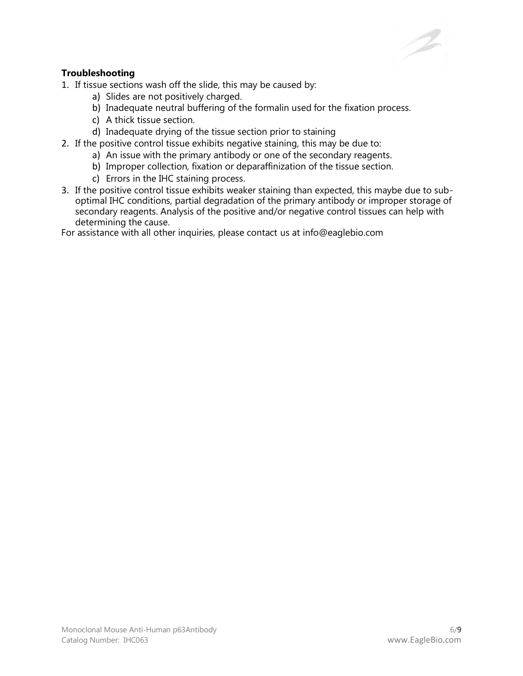# **Troubleshooting**

1. If tissue sections wash off the slide, this may be caused by:

- a) Slides are not positively charged.
- b) Inadequate neutral buffering of the formalin used for the fixation process.
- c) A thick tissue section.
- d) Inadequate drying of the tissue section prior to staining
- 2. If the positive control tissue exhibits negative staining, this may be due to:
	- a) An issue with the primary antibody or one of the secondary reagents.
	- b) Improper collection, fixation or deparaffinization of the tissue section.
	- c) Errors in the IHC staining process.
- 3. If the positive control tissue exhibits weaker staining than expected, this maybe due to suboptimal IHC conditions, partial degradation of the primary antibody or improper storage of secondary reagents. Analysis of the positive and/or negative control tissues can help with determining the cause.

For assistance with all other inquiries, please contact us at info@eaglebio.com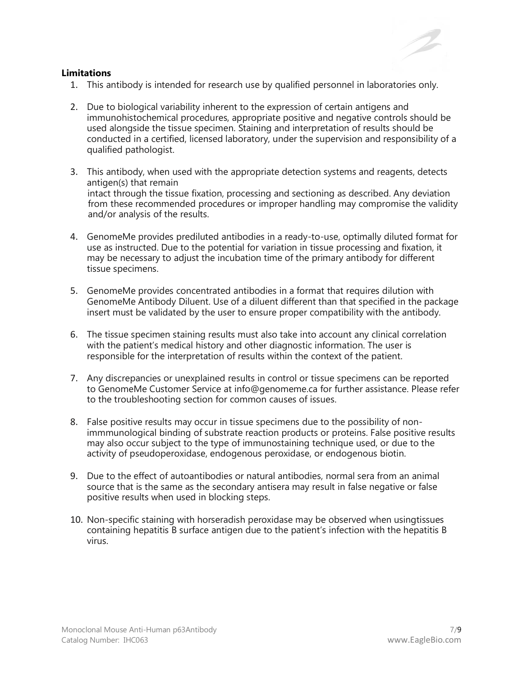#### **Limitations**

- 1. This antibody is intended for research use by qualified personnel in laboratories only.
- 2. Due to biological variability inherent to the expression of certain antigens and immunohistochemical procedures, appropriate positive and negative controls should be used alongside the tissue specimen. Staining and interpretation of results should be conducted in a certified, licensed laboratory, under the supervision and responsibility of a qualified pathologist.
- 3. This antibody, when used with the appropriate detection systems and reagents, detects antigen(s) that remain intact through the tissue fixation, processing and sectioning as described. Any deviation from these recommended procedures or improper handling may compromise the validity and/or analysis of the results.
- 4. GenomeMe provides prediluted antibodies in a ready-to-use, optimally diluted format for use as instructed. Due to the potential for variation in tissue processing and fixation, it may be necessary to adjust the incubation time of the primary antibody for different tissue specimens.
- 5. GenomeMe provides concentrated antibodies in a format that requires dilution with GenomeMe Antibody Diluent. Use of a diluent different than that specified in the package insert must be validated by the user to ensure proper compatibility with the antibody.
- 6. The tissue specimen staining results must also take into account any clinical correlation with the patient's medical history and other diagnostic information. The user is responsible for the interpretation of results within the context of the patient.
- 7. Any discrepancies or unexplained results in control or tissue specimens can be reported to GenomeMe Customer Service at info@genomeme.ca for further assistance. Please refer to the troubleshooting section for common causes of issues.
- 8. False positive results may occur in tissue specimens due to the possibility of nonimmmunological binding of substrate reaction products or proteins. False positive results may also occur subject to the type of immunostaining technique used, or due to the activity of pseudoperoxidase, endogenous peroxidase, or endogenous biotin.
- 9. Due to the effect of autoantibodies or natural antibodies, normal sera from an animal source that is the same as the secondary antisera may result in false negative or false positive results when used in blocking steps.
- 10. Non-specific staining with horseradish peroxidase may be observed when usingtissues containing hepatitis B surface antigen due to the patient's infection with the hepatitis B virus.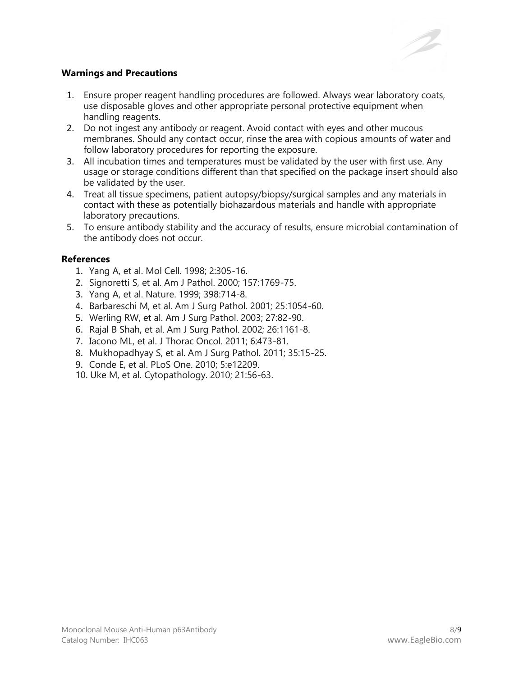

# **Warnings and Precautions**

- 1. Ensure proper reagent handling procedures are followed. Always wear laboratory coats, use disposable gloves and other appropriate personal protective equipment when handling reagents.
- 2. Do not ingest any antibody or reagent. Avoid contact with eyes and other mucous membranes. Should any contact occur, rinse the area with copious amounts of water and follow laboratory procedures for reporting the exposure.
- 3. All incubation times and temperatures must be validated by the user with first use. Any usage or storage conditions different than that specified on the package insert should also be validated by the user.
- 4. Treat all tissue specimens, patient autopsy/biopsy/surgical samples and any materials in contact with these as potentially biohazardous materials and handle with appropriate laboratory precautions.
- 5. To ensure antibody stability and the accuracy of results, ensure microbial contamination of the antibody does not occur.

# **References**

- 1. Yang A, et al. Mol Cell. 1998; 2:305-16.
- 2. Signoretti S, et al. Am J Pathol. 2000; 157:1769-75.
- 3. Yang A, et al. Nature. 1999; 398:714-8.
- 4. Barbareschi M, et al. Am J Surg Pathol. 2001; 25:1054-60.
- 5. Werling RW, et al. Am J Surg Pathol. 2003; 27:82-90.
- 6. Rajal B Shah, et al. Am J Surg Pathol. 2002; 26:1161-8.
- 7. Iacono ML, et al. J Thorac Oncol. 2011; 6:473-81.
- 8. Mukhopadhyay S, et al. Am J Surg Pathol. 2011; 35:15-25.
- 9. Conde E, et al. PLoS One. 2010; 5:e12209.
- 10. Uke M, et al. Cytopathology. 2010; 21:56-63.